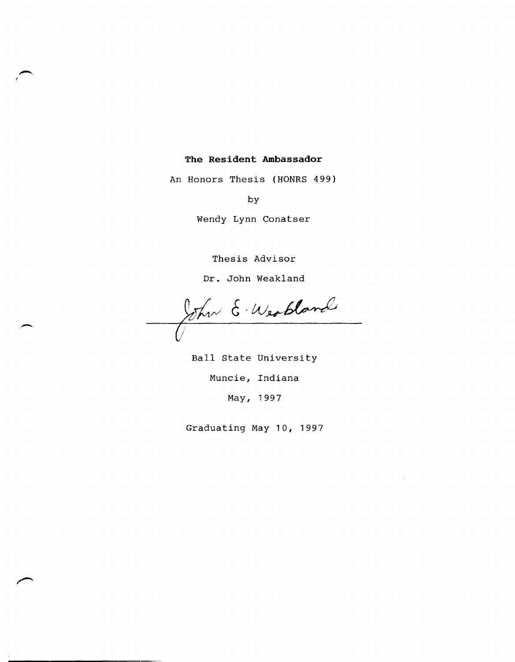## **The Resident Ambassador**

An Honors Thesis (HONRS 499)

by

Wendy Lynn Conatser

Thesis Advisor

Dr. John Weakland

,- *o* 

Ball state University Muncie, Indiana May, 1997

Graduating May 10, 1997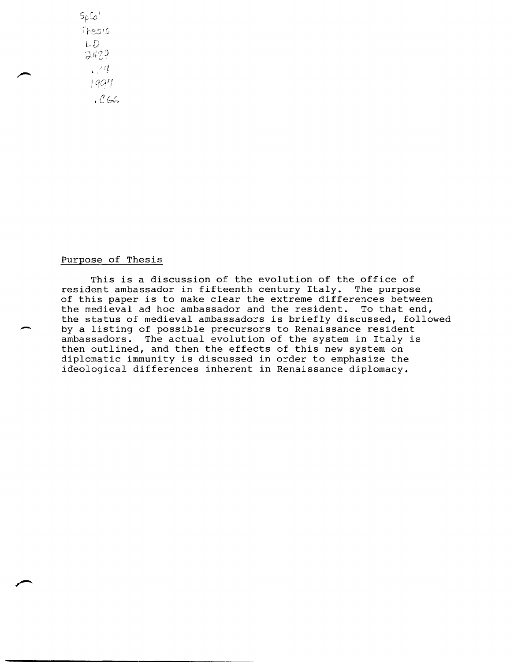$5pC_0$ Thesis *L-D*  2489 /'1 '. <sup>I</sup>  $1997$ 

 $.C66$ 

## Purpose of Thesis

This is a discussion of the evolution of the office of resident ambassador in fifteenth century Italy. The purpose of this paper is to make clear the extreme differences between the medieval ad hoc ambassador and the resident. To that end, the status of medieval ambassadors is briefly discussed, followed by a listing of possible precursors to Renaissance resident ambassadors. The actual evolution of the system in Italy is then outlined, and then the effects of this new system on diplomatic immunity is discussed in order to emphasize the ideological differences inherent in Renaissance diplomacy.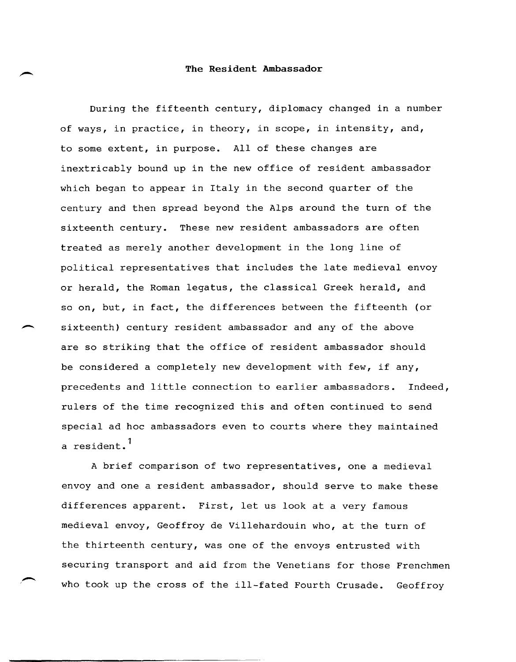## **The Resident Ambassador**

During the fifteenth century, diplomacy changed in a number of ways, in practice, in theory, in scope, in intensity, and, to some extent, in purpose. All of these changes are inextricably bound up in the new office of resident ambassador which began to appear in Italy in the second quarter of the century and then spread beyond the Alps around the turn of the sixteenth century. These new resident ambassadors are often treated as merely another development in the long line of political representatives that includes the late medieval envoy or herald, the Roman legatus, the classical Greek herald, and so on, but, in fact, the differences between the fifteenth (or sixteenth) century resident ambassador and any of the above are so striking that the office of resident ambassador should be considered a completely new development with few, if any, precedents and little connection to earlier ambassadors. Indeed, rulers of the time recognized this and often continued to send special ad hoc ambassadors even to courts where they maintained a resident.<sup>1</sup>

A brief comparison of two representatives, one a medieval envoy and one a resident ambassador, should serve to make these differences apparent. First, let us look at a very famous medieval envoy, Geoffroy de Villehardouin who, at the turn of the thirteenth century, was one of the envoys entrusted with securing transport and aid from the Venetians for those Frenchmen who took up the cross of the ill-fated Fourth Crusade. Geoffroy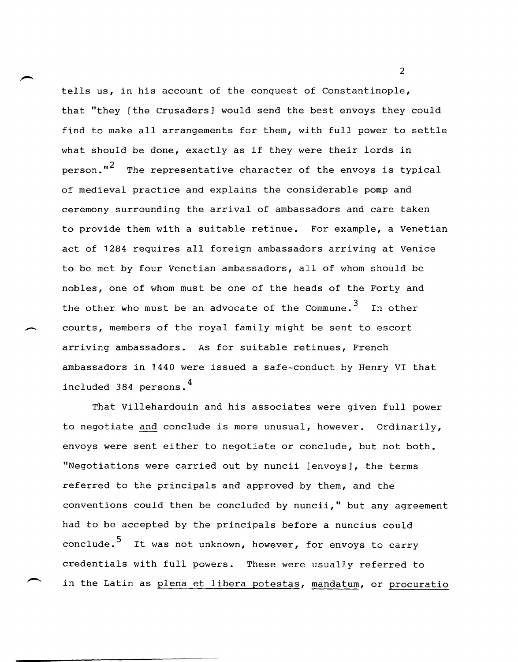tells us, in his account of the conquest of Constantinople, that "they [the Crusaders] would send the best envoys they could find to make all arrangements for them, with full power to settle what should be done, exactly as if they were their lords in person."<sup>2</sup> The representative character of the envoys is typical of medieval practice and explains the considerable pomp and ceremony surrounding the arrival of ambassadors and care taken to provide them with a suitable retinue. For example, a Venetian act of 1284 requires all foreign ambassadors arriving at Venice to be met by four Venetian ambassadors, all of whom should be nobles, one of whom must be one of the heads of the Forty and the other who must be an advocate of the Commune. $^3$  In other courts, members of the royal family might be sent to escort arriving ambassadors. As for suitable retinues, French ambassadors in 1440 were issued a safe-conduct by Henry VI that included 384 persons. 4

That Villehardouin and his associates were given full power to negotiate and conclude is more unusual, however. Ordinarily, envoys were sent either to negotiate or conclude, but not both. "Negotiations were carried out by nuncii [envoys], the terms referred to the principals and approved by them, and the conventions could then be concluded by nuncii," but any agreement had to be accepted by the principals before a nuncius could conclude.<sup>5</sup> It was not unknown, however, for envoys to carry credentials with full powers. These were usually referred to in the Latin as plena et libera potestas, mandatum, or procuratio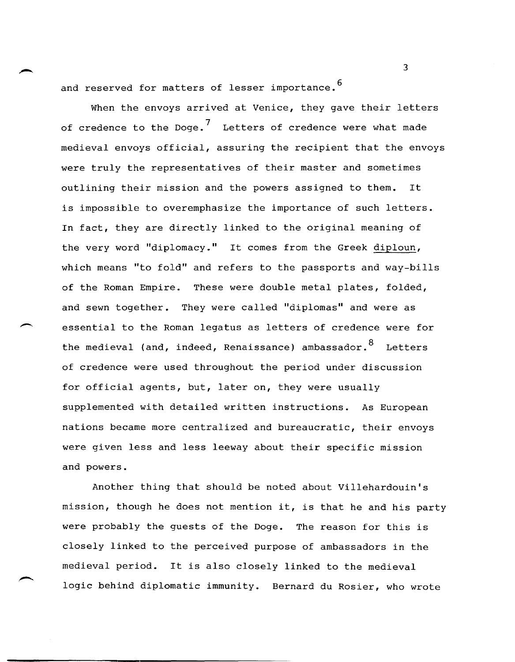and reserved for matters of lesser importance.<sup>6</sup>

When the envoys arrived at Venice, they gave their letters of credence to the Doge.<sup>7</sup> Letters of credence were what made medieval envoys official, assuring the recipient that the envoys were truly the representatives of their master and sometimes outlining their mission and the powers assigned to them. It is impossible to overemphasize the importance of such letters. In fact, they are directly linked to the original meaning of the very word "diplomacy." It comes from the Greek diploun, which means "to fold" and refers to the passports and way-bills of the Roman Empire. These were double metal plates, folded, and sewn together. They were called "diplomas" and were as essential to the Roman legatus as letters of credence were for the medieval (and, indeed, Renaissance) ambassador.  $8$  Letters of credence were used throughout the period under discussion for official agents, but, later on, they were usually supplemented with detailed written instructions. As European nations became more centralized and bureaucratic, their envoys were given less and less leeway about their specific mission and powers.

Another thing that should be noted about Villehardouin's mission, though he does not mention it, is that he and his party were probably the guests of the Doge. The reason for this is closely linked to the perceived purpose of ambassadors in the medieval period. It is also closely linked to the medieval logic behind diplomatic immunity. Bernard du Rosier, who wrote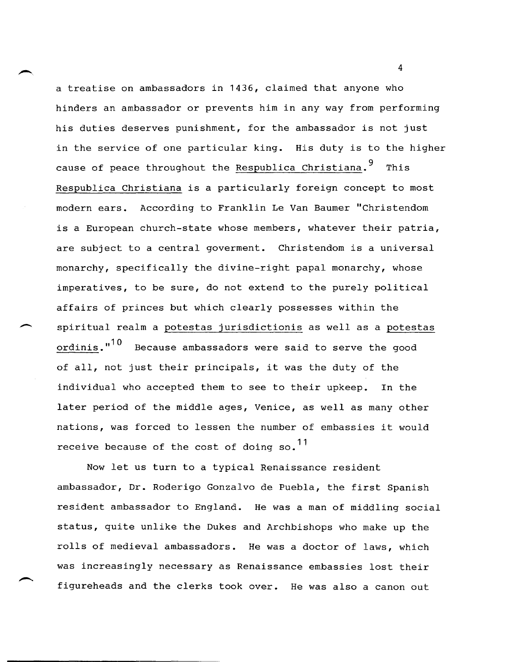a treatise on ambassadors in 1436, claimed that anyone who hinders an ambassador or prevents him in any way from performing his duties deserves punishment, for the ambassador is not just in the service of one particular king. His duty is to the higher cause of peace throughout the Respublica Christiana.<sup>9</sup> This Respublica Christiana is a particularly foreign concept to most modern ears. According to Franklin Le Van Baumer "Christendom is a European church-state whose members, whatever their patria, are subject to a central goverment. Christendom is a universal monarchy, specifically the divine-right papal monarchy, whose imperatives, to be sure, do not extend to the purely political affairs of princes but which clearly possesses within the spiritual realm a potestas jurisdictionis as well as a potestas ordinis." $10$  Because ambassadors were said to serve the good of all, not just their principals, it was the duty of the individual who accepted them to see to their upkeep. In the later period of the middle ages, Venice, as well as many other nations, was forced to lessen the number of embassies it would receive because of the cost of doing so.<sup>11</sup>

 $\overline{\phantom{a}}$ 

Now let us turn to a typical Renaissance resident ambassador, Dr. Roderigo Gonzalvo de Puebla, the first Spanish resident ambassador to England. He was a man of middling social status, quite unlike the Dukes and Archbishops who make up the rolls of medieval ambassadors. He was a doctor of laws, which was increasingly necessary as Renaissance embassies lost their figureheads and the clerks took over. He was also a canon out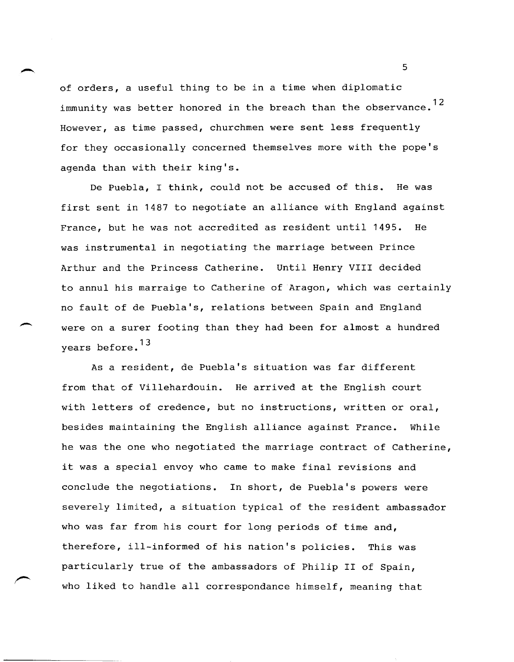of orders, a useful thing to be in a time when diplomatic immunity was better honored in the breach than the observance.<sup>12</sup> However, as time passed, churchmen were sent less frequently for they occasionally concerned themselves more with the pope's agenda than with their king's.

De Puebla, I think, could not be accused of this. He was first sent in 1487 to negotiate an alliance with England against France, but he was not accredited as resident until 1495. He was instrumental in negotiating the marriage between Prince Arthur and the Princess Catherine. Until Henry VIII decided to annul his marraige to Catherine of Aragon, which was certainly no fault of de Puebla's, relations between Spain and England were on a surer footing than they had been for almost a hundred years before.<sup>13</sup>

 $\overline{\phantom{a}}$ 

As a resident, de Puebla's situation was far different from that of Villehardouin. He arrived at the English court with letters of credence, but no instructions, written or oral, besides maintaining the English alliance against France. While he was the one who negotiated the marriage contract of Catherine, it was a special envoy who came to make final revisions and conclude the negotiations. In short, de Puebla's powers were severely limited, a situation typical of the resident ambassador who was far from his court for long periods of time and, therefore, ill-informed of his nation's policies. This was particularly true of the ambassadors of Philip II of Spain, who liked to handle all correspondance himself, meaning that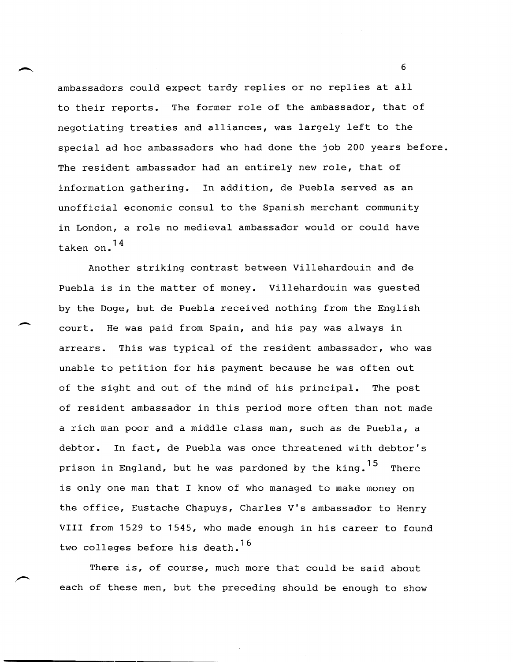ambassadors could expect tardy replies or no replies at all to their reports. The former role of the ambassador, that of negotiating treaties and alliances, was largely left to the special ad hoc ambassadors who had done the job 200 years before. The resident ambassador had an entirely new role, that of information gathering. In addition, de Puebla served as an unofficial economic consul to the Spanish merchant community in London, a role no medieval ambassador would or could have taken on. 14

Another striking contrast between Villehardouin and de Puebla is in the matter of money. Villehardouin was guested by the Doge, but de Puebla received nothing from the English court. He was paid from Spain, and his pay was always in arrears. This was typical of the resident ambassador, who was unable to petition for his payment because he was often out of the sight and out of the mind of his principal. The post of resident ambassador in this period more often than not made a rich man poor and a middle class man, such as de Puebla, a debtor. In fact, de Puebla was once threatened with debtor's prison in England, but he was pardoned by the king.  $15$  There is only one man that I know of who managed to make money on the office, Eustache Chapuys, Charles V's ambassador to Henry VIII from 1529 to 1545, who made enough in his career to found two colleges before his death.<sup>16</sup>

 $\overline{\phantom{a}}$ 

There is, of course, much more that could be said about each of these men, but the preceding should be enough to show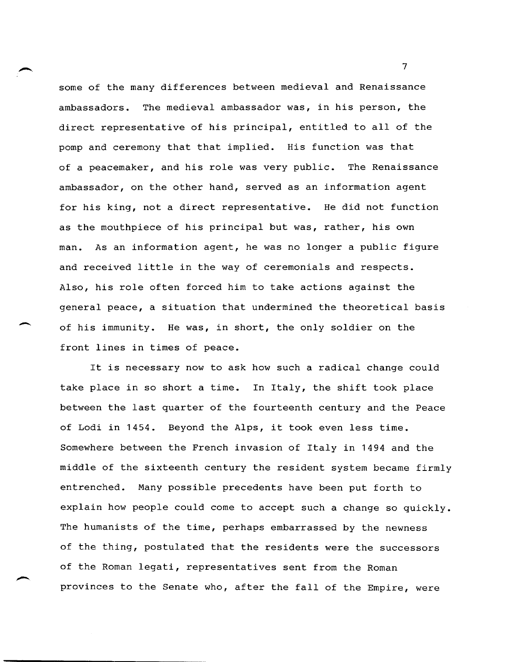some of the many differences between medieval and Renaissance ambassadors. The medieval ambassador was, in his person, the direct representative of his principal, entitled to all of the pomp and ceremony that that implied. His function was that of a peacemaker, and his role was very public. The Renaissance ambassador, on the other hand, served as an information agent for his king, not a direct representative. He did not function as the mouthpiece of his principal but was, rather, his own man. As an information agent, he was no longer a public figure and received little in the way of ceremonials and respects. Also, his role often forced him to take actions against the general peace, a situation that undermined the theoretical basis of his immunity. He was, in short, the only soldier on the front lines in times of peace.

It is necessary now to ask how such a radical change could take place in so short a time. In Italy, the shift took place between the last quarter of the fourteenth century and the Peace of Lodi in 1454. Beyond the Alps, it took even less time. Somewhere between the French invasion of Italy in 1494 and the middle of the sixteenth century the resident system became firmly entrenched. Many possible precedents have been put forth to explain how people could come to accept such a change so quickly. The humanists of the time, perhaps embarrassed by the newness of the thing, postulated that the residents were the successors of the Roman legati, representatives sent from the Roman provinces to the Senate who, after the fall of the Empire, were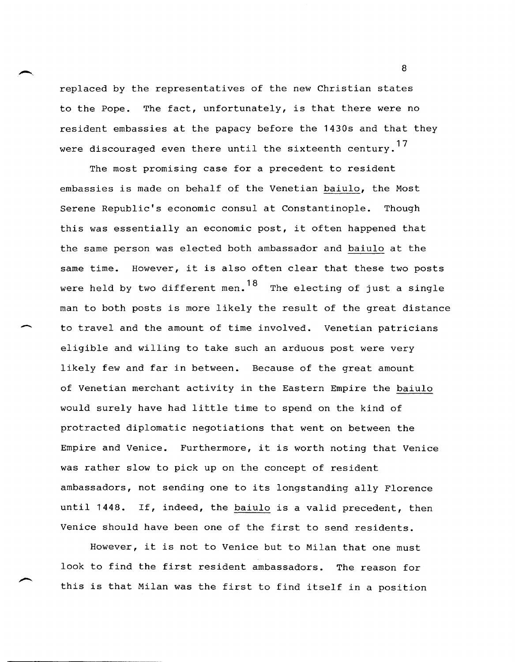replaced by the representatives of the new Christian states to the Pope. The fact, unfortunately, is that there were no resident embassies at the papacy before the 1430s and that they were discouraged even there until the sixteenth century.<sup>17</sup>

The most promising case for a precedent to resident embassies is made on behalf of the Venetian baiulo, the Most Serene Republic's economic consul at Constantinople. Though this was essentially an economic post, it often happened that the same person was elected both ambassador and baiulo at the same time. However, it is also often clear that these two posts were held by two different men. $^{18}$  The electing of just a single man to both posts is more likely the result of the great distance to travel and the amount of time involved. Venetian patricians eligible and willing to take such an arduous post were very likely few and far in between. Because of the great amount of Venetian merchant activity in the Eastern Empire the baiulo would surely have had little time to spend on the kind of protracted diplomatic negotiations that went on between the Empire and Venice. Furthermore, it is worth noting that Venice was rather slow to pick up on the concept of resident ambassadors, not sending one to its longstanding ally Florence until 1448. If, indeed, the baiulo is a valid precedent, then Venice should have been one of the first to send residents.

-

However, it is not to Venice but to Milan that one must look to find the first resident ambassadors. The reason for this is that Milan was the first to find itself in a position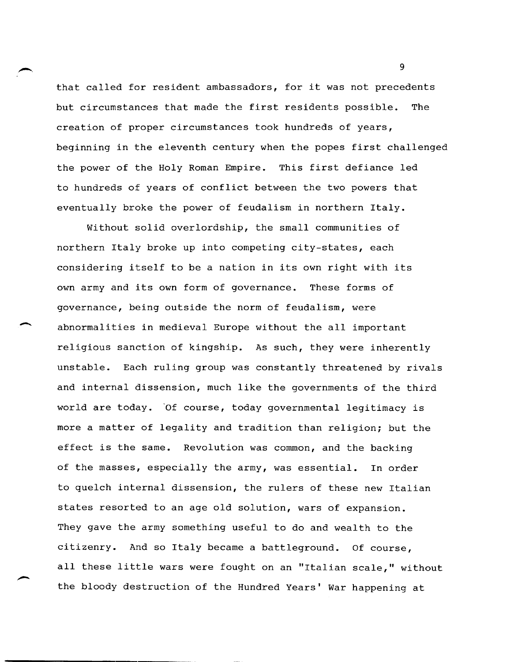that called for resident ambassadors, for it was not precedents but circumstances that made the first residents possible. The creation of proper circumstances took hundreds of years, beginning in the eleventh century when the popes first challenged the power of the Holy Roman Empire. This first defiance led to hundreds of years of conflict between the two powers that eventually broke the power of feudalism in northern Italy.

Without solid overlordship, the small communities of northern Italy broke up into competing city-states, each considering itself to be a nation in its own right with its own army and its own form of governance. These forms of governance, being outside the norm of feudalism, were abnormalities in medieval Europe without the all important religious sanction of kingship. As such, they were inherently unstable. Each ruling group was constantly threatened by rivals and internal dissension, much like the governments of the third world are today. 'Of course, today governmental legitimacy is more a matter of legality and tradition than religion; but the effect is the same. Revolution was common, and the backing of the masses, especially the army, was essential. In order to quelch internal dissension, the rulers of these new Italian states resorted to an age old solution, wars of expansion. They gave the army something useful to do and wealth to the citizenry. And so Italy became a battleground. Of course, all these little wars were fought on an "Italian scale," without the bloody destruction of the Hundred Years' War happening at

 $\overline{\phantom{a}}$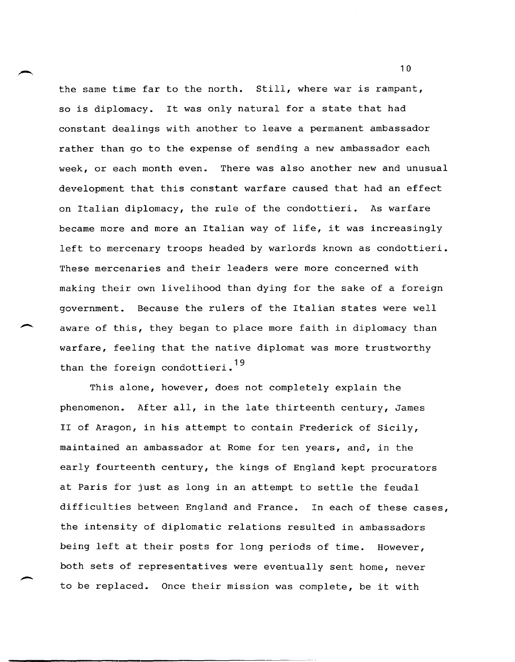the same time far to the north. still, where war is rampant, so is diplomacy. It was only natural for a state that had constant dealings with another to leave a permanent ambassador rather than go to the expense of sending a new ambassador each week, or each month even. There was also another new and unusual development that this constant warfare caused that had an effect on Italian diplomacy, the rule of the condottieri. As warfare became more and more an Italian way of life, it was increasingly left to mercenary troops headed by warlords known as condottieri. These mercenaries and their leaders were more concerned with making their own livelihood than dying for the sake of a foreign government. Because the rulers of the Italian states were well aware of this, they began to place more faith in diplomacy than warfare, feeling that the native diplomat was more trustworthy than the foreign condottieri.<sup>19</sup>

This alone, however, does not completely explain the phenomenon. After all, in the late thirteenth century, James II of Aragon, in his attempt to contain Frederick of Sicily, maintained an ambassador at Rome for ten years, and, in the early fourteenth century, the kings of England kept procurators at Paris for just as long in an attempt to settle the feudal difficulties between England and France. In each of these cases, the intensity of diplomatic relations resulted in ambassadors being left at their posts for long periods of time. However, both sets of representatives were eventually sent home, never to be replaced. Once their mission was complete, be it with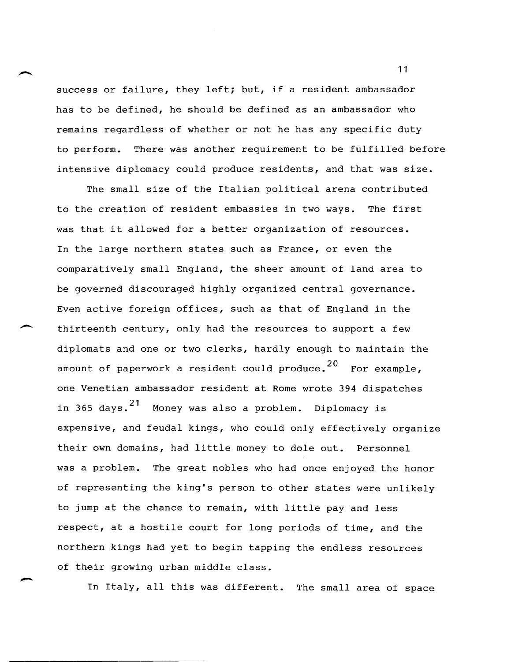success or failure, they left; but, if a resident ambassador has to be defined, he should be defined as an ambassador who remains regardless of whether or not he has any specific duty to perform. There was another requirement to be fulfilled before intensive diplomacy could produce residents, and that was size.

The small size of the Italian political arena contributed to the creation of resident embassies in two ways. The first was that it allowed for a better organization of resources. In the large northern states such as France, or even the comparatively small England, the sheer amount of land area to be governed discouraged highly organized central governance. Even active foreign offices, such as that of England in the thirteenth century, only had the resources to support a few diplomats and one or two clerks, hardly enough to maintain the amount of paperwork a resident could produce.<sup>20</sup> For example. one Venetian ambassador resident at Rome wrote 394 dispatches in 365 days.21 Money was also a problem. Diplomacy is expensive, and feudal kings, who could only effectively organize their own domains, had little money to dole out. Personnel was a problem. The great nobles who had once enjoyed the honor of representing the king's person to other states were unlikely to jump at the chance to remain, with little pay and less respect, at a hostile court for long periods of time, and the northern kings had yet to begin tapping the endless resources of their growing urban middle class.

In Italy, all this was different. The small area of space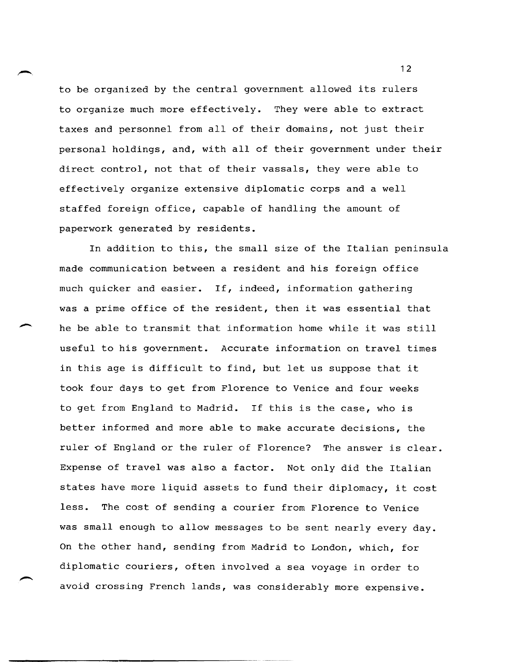to be organized by the central government allowed its rulers to organize much more effectively. They were able to extract taxes and personnel from all of their domains, not just their personal holdings, and, with all of their government under their direct control, not that of their vassals, they were able to effectively organize extensive diplomatic corps and a well staffed foreign office, capable of handling the amount of paperwork generated by residents.

In addition to this, the small size of the Italian peninsula made communication between a resident and his foreign office much quicker and easier. If, indeed, information gathering was a prime office of the resident, then it was essential that he be able to transmit that information home while it was still useful to his government. Accurate information on travel times in this age is difficult to find, but let us suppose that it took four days to get from Florence to Venice and four weeks to get from England to Madrid. If this is the case, who is better informed and more able to make accurate decisions, the ruler of England or the ruler of Florence? The answer is clear. Expense of travel was also a factor. Not only did the Italian states have more liquid assets to fund their diplomacy, it cost less. The cost of sending a courier from Florence to Venice was small enough to allow messages to be sent nearly every day. On the other hand, sending from Madrid to London, which, for diplomatic couriers, often involved a sea voyage in order to avoid crossing French lands, was considerably more expensive.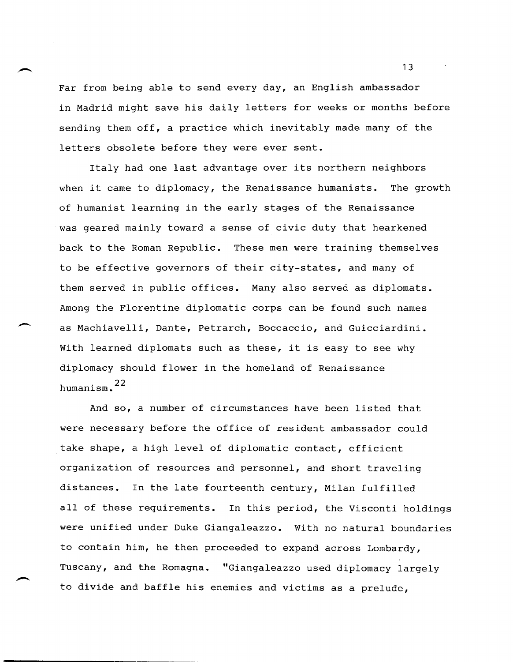Far from being able to send every day, an English ambassador in Madrid might save his daily letters for weeks or months before sending them off, a practice which inevitably made many of the letters obsolete before they were ever sent.

Italy had one last advantage over its northern neighbors when it came to diplomacy, the Renaissance humanists. The growth of humanist learning in the early stages of the Renaissance was geared mainly toward a sense of civic duty that hearkened back to the Roman Republic. These men were training themselves to be effective governors of their city-states, and many of them served in public offices. Many also served as diplomats. Among the Florentine diplomatic corps can be found such names<br>as Machiavelli, Dante, Petrarch, Boccaccio, and Guicciardini. With learned diplomats such as these, it is easy to see why diplomacy should flower in the homeland of Renaissance humanism. $22$ 

And so, a number of circumstances have been listed that were necessary before the office of resident ambassador could take shape, a high level of diplomatic contact, efficient organization of resources and personnel, and short traveling distances. In the late fourteenth century, Milan fulfilled all of these requirements. In this period, the Visconti holdings were unified under Duke Giangaleazzo. with no natural boundaries to contain him, he then proceeded to expand across Lombardy, Tuscany, and the Romagna. "Giangaleazzo used diplomacy largely to divide and baffle his enemies and victims as a prelude,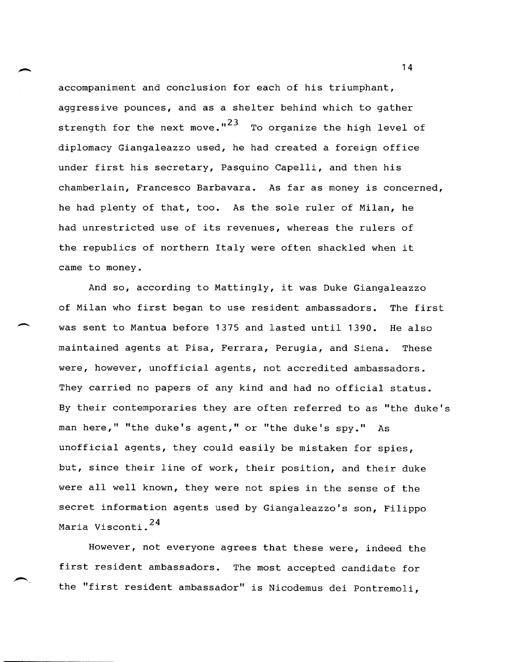accompaniment and conclusion for each of his triumphant, aggressive pounces, and as a shelter behind which to gather strength for the next move." $^{23}$  To organize the high level of diplomacy Giangaleazzo used, he had created a foreign office under first his secretary, Pasquino Capelli, and then his chamberlain, Francesco Barbavara. As far as money is concerned, he had plenty of that, too. As the sole ruler of Milan, he had unrestricted use of its revenues, whereas the rulers of the republics of northern Italy were often shackled when it came to money.

And so, according to Mattingly, it was Duke Giangaleazzo of Milan who first began to use resident ambassadors. The first was sent to Mantua before 1375 and lasted until 1390. He also maintained agents at Pisa, Ferrara, Perugia, and Siena. These were, however, unofficial agents, not accredited ambassadors. They carried no papers of any kind and had no official status. By their contemporaries they are often referred to as "the duke's man here," "the duke's agent," or "the duke's spy." As unofficial agents, they could easily be mistaken for spies, but, since their line of work, their position, and their duke were all well known, they were not spies in the sense of the secret information agents used by Giangaleazzo's son, Filippo Maria Visconti.<sup>24</sup>

-

However, not everyone agrees that these were, indeed the first resident ambassadors. The most accepted candidate for the "first resident ambassador" is Nicodemus dei Pontremoli,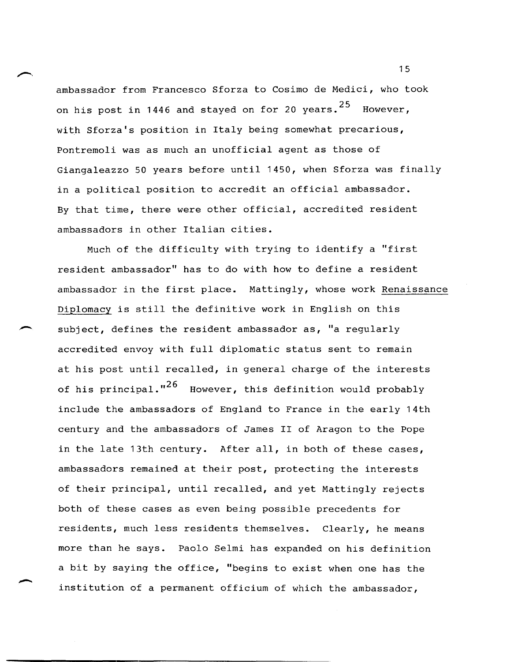ambassador from Francesco Sforza to Cosimo de Medici, who took on his post in 1446 and stayed on for 20 years. $^{\mathrm{25}}$  However, with Sforza's position in Italy being somewhat precarious, Pontremoli was as much an unofficial agent as those of Giangaleazzo 50 years before until 1450, when Sforza was finally in a political position to accredit an official ambassador. By that time, there were other official, accredited resident ambassadors in other Italian cities.

Much of the difficulty with trying to identify a "first resident ambassador" has to do with how to define a resident ambassador in the first place. Mattingly, whose work Renaissance Diplomacy is still the definitive work in English on this subject, defines the resident ambassador as, "a regularly accredited envoy with full diplomatic status sent to remain at his post until recalled, in general charge of the interests of his principal."<sup>26</sup> However, this definition would probably include the ambassadors of England to France in the early 14th century and the ambassadors of James II of Aragon to the Pope in the late 13th century. After all, in both of these cases, ambassadors remained at their post, protecting the interests of their principal, until recalled, and yet Mattingly rejects both of these cases as even being possible precedents for residents, much less residents themselves. Clearly, he means more than he says. Paolo Selmi has expanded on his definition a bit by saying the office, "begins to exist when one has the institution of a permanent officium of which the ambassador,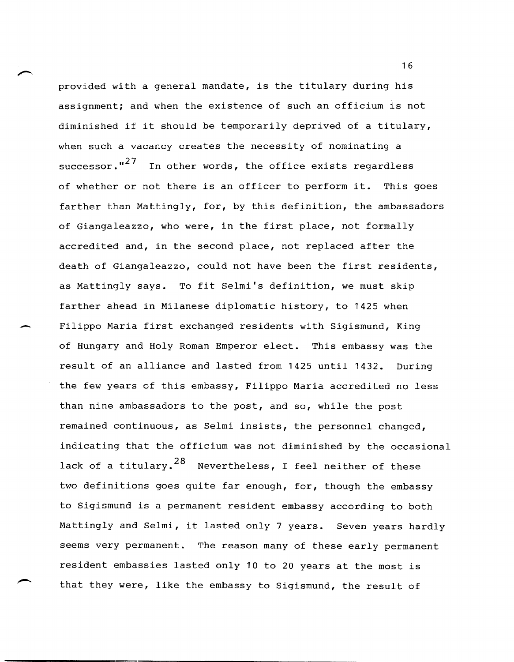provided with a general mandate, is the titulary during his assignment; and when the existence of such an officium is not diminished if it should be temporarily deprived of a titulary, when such a vacancy creates the necessity of nominating a successor."<sup>27</sup> In other words, the office exists regardless of whether or not there is an officer to perform it. This goes farther than Mattingly, for, by this definition, the ambassadors of Giangaleazzo, who were, in the first place, not formally accredited and, in the second place, not replaced after the death of Giangaleazzo, could not have been the first residents, as Mattingly says. To fit Selmi's definition, we must skip farther ahead in Milanese diplomatic history, to 1425 when Filippo Maria first exchanged residents with Sigismund, King of Hungary and Holy Roman Emperor elect. This embassy was the result of an alliance and lasted from 1425 until 1432. During the few years of this embassy, Filippo Maria accredited no less than nine ambassadors to the post, and so, while the post remained continuous, as Selmi insists, the personnel changed, indicating that the officium was not diminished by the occasional lack of a titulary.  $28$  Nevertheless, I feel neither of these two definitions goes quite far enough, for, though the embassy to Sigismund is a permanent resident embassy according to both Mattingly and Selmi, it lasted only 7 years. Seven years hardly seems very permanent. The reason many of these early permanent resident embassies lasted only 10 to 20 years at the most is that they were, like the embassy to Sigismund, the result of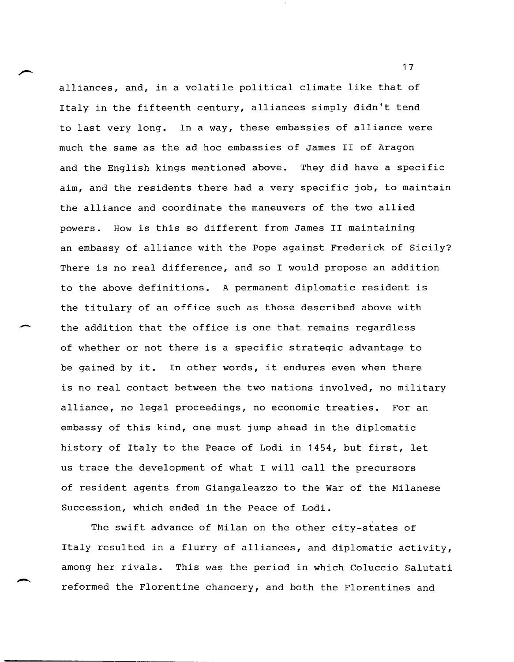alliances, and, in a volatile political climate like that of Italy in the fifteenth century, alliances simply didn't tend to last very long. In a way, these embassies of alliance were much the same as the ad hoc embassies of James II of Aragon and the English kings mentioned above. They did have a specific aim, and the residents there had a very specific job, to maintain the alliance and coordinate the maneuvers of the two allied powers. How is this so different from James II maintaining an embassy of alliance with the Pope against Frederick of Sicily? There is no real difference, and so I would propose an addition to the above definitions. A permanent diplomatic resident is the titulary of an office such as those described above with the addition that the office is one that remains regardless of whether or not there is a specific strategic advantage to be gained by it. In other words, it endures even when there is no real contact between the two nations involved, no military alliance, no legal proceedings, no economic treaties. For an embassy of this kind, one must jump ahead in the diplomatic history of Italy to the Peace of Lodi in 1454, but first, let us trace the development of what I will call the precursors of resident agents from Giangaleazzo to the War of the Milanese Succession, which ended in the Peace of Lodi.

-

The swift advance of Milan on the other city-states of Italy resulted in a flurry of alliances, and diplomatic activity, among her rivals. This was the period in which Coluccio Salutati reformed the Florentine chancery, and both the Florentines and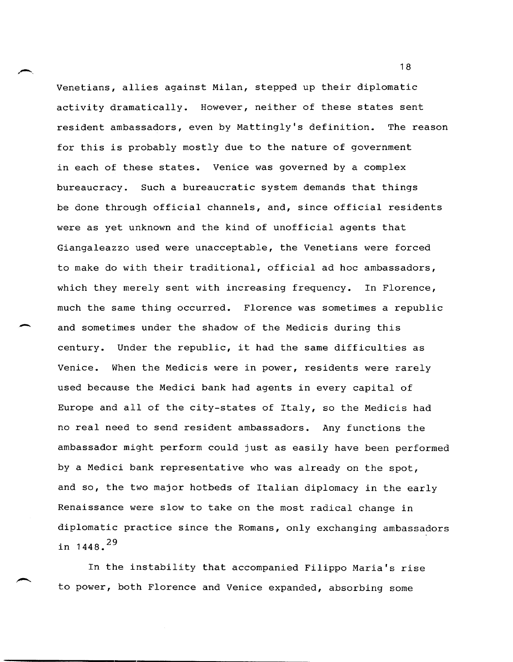Venetians, allies against Milan, stepped up their diplomatic activity dramatically. However, neither of these states sent resident ambassadors, even by Mattingly's definition. The reason for this is probably mostly due to the nature of government in each of these states. Venice was governed by a complex bureaucracy. Such a bureaucratic system demands that things be done through official channels, and, since official residents were as yet unknown and the kind of unofficial agents that Giangaleazzo used were unacceptable, the Venetians were forced to make do with their traditional, official ad hoc ambassadors, which they merely sent with increasing frequency. In Florence, much the same thing occurred. Florence was sometimes a republic and sometimes under the shadow of the Medicis during this century. Under the republic, it had the same difficulties as Venice. When the Medicis were in power, residents were rarely used because the Medici bank had agents in every capital of Europe and all of the city-states of Italy, so the Medicis had no real need to send resident ambassadors. Any functions the ambassador might perform could just as easily have been performed by a Medici bank representative who was already on the spot, and so, the two major hotbeds of Italian diplomacy in the early Renaissance were slow to take on the most radical change in diplomatic practice since the Romans, only exchanging ambassadors in  $1448.$ <sup>29</sup>

-

In the instability that accompanied Filippo Maria's rise to power, both Florence and Venice expanded, absorbing some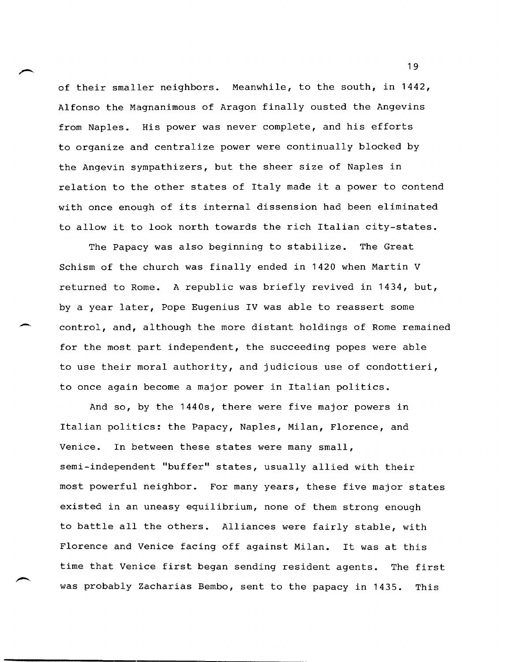of their smaller neighbors. Meanwhile, to the south, in 1442, Alfonso the Magnanimous of Aragon finally ousted the Angevins from Naples. His power was never complete, and his efforts to organize and centralize power were continually blocked by the Angevin sympathizers, but the sheer size of Naples in relation to the other states of Italy made it a power to contend with once enough of its internal dissension had been eliminated to allow it to look north towards the rich Italian city-states.

The Papacy was also beginning to stabilize. The Great Schism of the church was finally ended in 1420 when Martin V returned to Rome. A republic was briefly revived in 1434, but, by a year later, Pope Eugenius IV was able to reassert some control, and, although the more distant holdings of Rome remained for the most part independent, the succeeding popes were able to use their moral authority, and judicious use of condottieri, to once again become a major power in Italian politics.

--

 $\overline{\phantom{0}}$ 

And so, by the 1440s, there were five major powers in Italian politics: the Papacy, Naples, Milan, Florence, and Venice. In between these states were many small, semi-independent "buffer" states, usually allied with their most powerful neighbor. For many years, these five major states existed in an uneasy equilibrium, none of them strong enough to battle all the others. Alliances were fairly stable, with Florence and Venice facing off against Milan. It was at this time that Venice first began sending resident agents. The first was probably Zacharias Bembo, sent to the papacy in 1435. This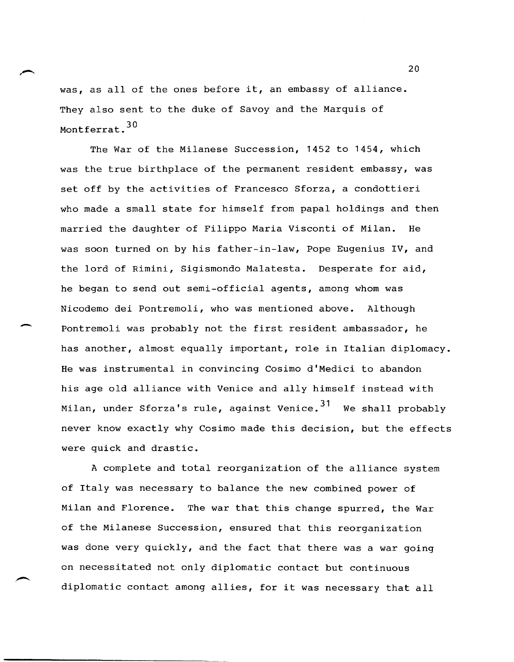was, as all of the ones before it, an embassy of alliance. They also sent to the duke of Savoy and the Marquis of Montferrat.<sup>30</sup>

The War of the Milanese Succession, 1452 to 1454, which was the true birthplace of the permanent resident embassy, was set off by the activities of Francesco Sforza, a condottieri who made a small state for himself from papal holdings and then married the daughter of Filippo Maria Visconti of Milan. He was soon turned on by his father-in-law, Pope Eugenius IV, and the lord of Rimini, Sigismondo Malatesta. Desperate for aid, he began to send out semi-official agents, among whom was Nicodemo dei Pontremoli, who was mentioned above. Although Pontremoli was probably not the first resident ambassador, he has another, almost equally important, role in Italian diplomacy. He was instrumental in convincing Cosimo d'Medici to abandon his age old alliance with Venice and ally himself instead with Milan, under Sforza's rule, against Venice.<sup>31</sup> We shall probably never know exactly why Cosimo made this decision, but the effects were quick and drastic.

A complete and total reorganization of the alliance system of Italy was necessary to balance the new combined power of Milan and Florence. The war that this change spurred, the War of the Milanese Succession, ensured that this reorganization was done very quickly, and the fact that there was a war going on necessitated not only diplomatic contact but continuous diplomatic contact among allies, for it was necessary that all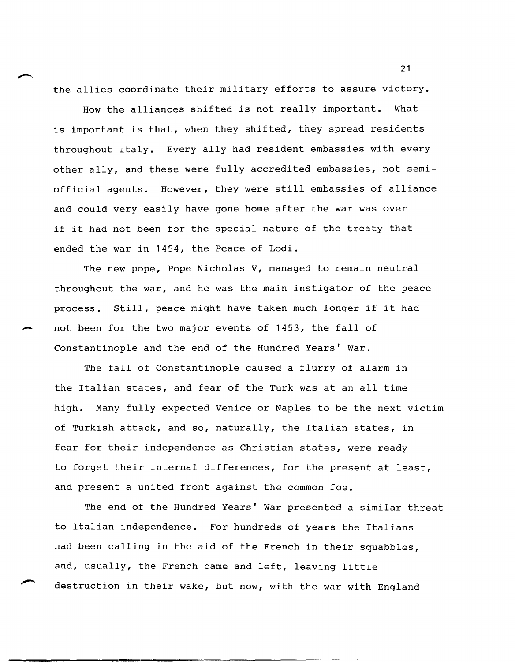the allies coordinate their military efforts to assure victory.

How the alliances shifted is not really important. What is important is that, when they shifted, they spread residents throughout Italy. Every ally had resident embassies with every other ally, and these were fully accredited embassies, not semiofficial agents. However, they were still embassies of alliance and could very easily have gone home after the war was over if it had not been for the special nature of the treaty that ended the war in 1454, the Peace of Lodi.

The new pope, Pope Nicholas V, managed to remain neutral throughout the war, and he was the main instigator of the peace process. still, peace might have taken much longer if it had not been for the two major events of 1453, the fall of constantinople and the end of the Hundred Years' War.

The fall of Constantinople caused a flurry of alarm in the Italian states, and fear of the Turk was at an all time high. Many fully expected Venice or Naples to be the next victim of Turkish attack, and so, naturally, the Italian states, in fear for their independence as Christian states, were ready to forget their internal differences, for the present at least, and present a united front against the common foe.

The end of the Hundred Years' War presented a similar threat to Italian independence. For hundreds of years the Italians had been calling in the aid of the French in their squabbles, and, usually, the French came and left, leaving little destruction in their wake, but now, with the war with England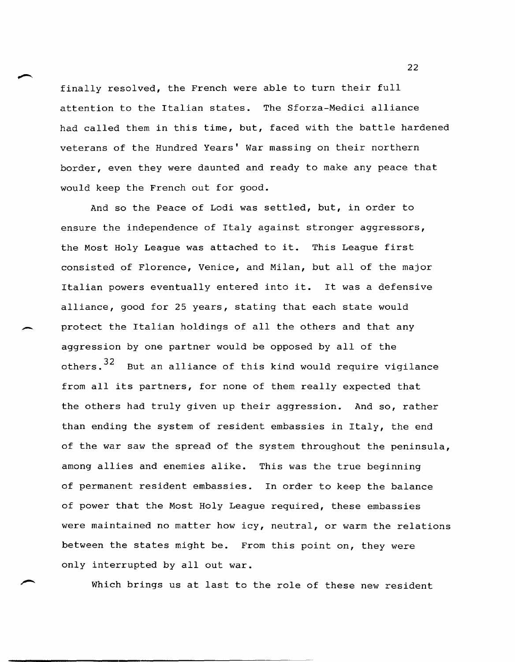finally resolved, the French were able to turn their full attention to the Italian states. The Sforza-Medici alliance had called them in this time, but, faced with the battle hardened veterans of the Hundred Years' War massing on their northern border, even they were daunted and ready to make any peace that would keep the French out for good.

And so the Peace of Lodi was settled, but, in order to ensure the independence of Italy against stronger aggressors, the Most Holy League was attached to it. This League first consisted of Florence, Venice, and Milan, but all of the major Italian powers eventually entered into it. It was a defensive alliance, good for 25 years, stating that each state would protect the Italian holdings of all the others and that any aggression by one partner would be opposed by all of the others.  $32$  But an alliance of this kind would require vigilance from all its partners, for none of them really expected that the others had truly given up their aggression. And so, rather than ending the system of resident embassies in Italy, the end of the war saw the spread of the system throughout the peninsula, among allies and enemies alike. This was the true beginning of permanent resident embassies. In order to keep the balance of power that the Most Holy League required, these embassies were maintained no matter how icy, neutral, or warm the relations between the states might be. From this point on, they were only interrupted by all out war.

Which brings us at last to the role of these new resident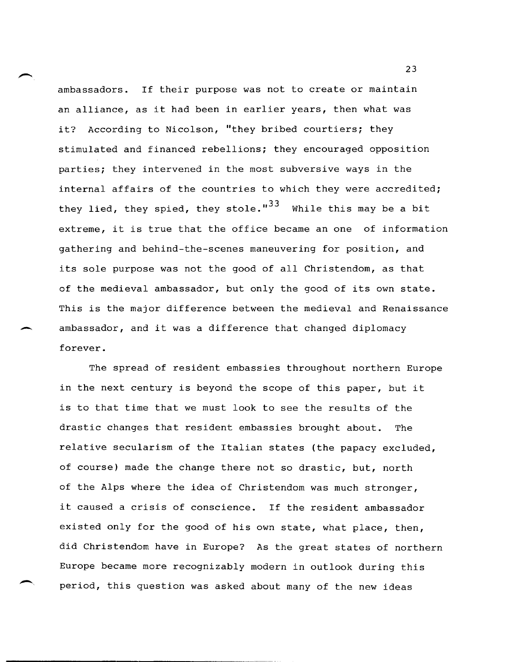ambassadors. If their purpose was not to create or maintain an alliance, as it had been in earlier years, then what was it? According to Nicolson, "they bribed courtiers; they stimulated and financed rebellions; they encouraged opposition parties; they intervened in the most subversive ways in the internal affairs of the countries to which they were accredited; they lied, they spied, they stole." $^{33}$  While this may be a bit extreme, it is true that the office became an one of information gathering and behind-the-scenes maneuvering for position, and its sole purpose was not the good of all Christendom, as that of the medieval ambassador, but only the good of its own state. This is the major difference between the medieval and Renaissance ambassador, and it was a difference that changed diplomacy forever.

The spread of resident embassies throughout northern Europe in the next century is beyond the scope of this paper, but it is to that time that we must look to see the results of the drastic changes that resident embassies brought about. The relative secularism of the Italian states (the papacy excluded, of course) made the change there not so drastic, but, north of the Alps where the idea of Christendom was much stronger, it caused a crisis of conscience. If the resident ambassador existed only for the good of his own state, what place, then, did Christendom have in Europe? As the great states of northern Europe became more recognizably modern in outlook during this period, this question was asked about many of the new ideas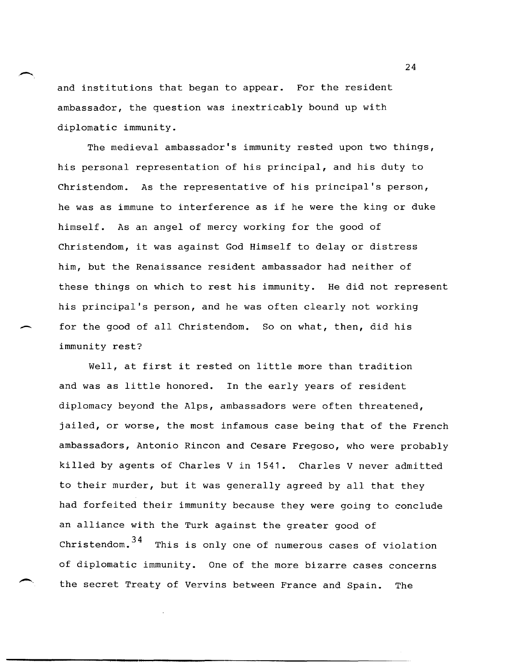and institutions that began to appear. For the resident ambassador, the question was inextricably bound up with diplomatic immunity.

The medieval ambassador's immunity rested upon two things, his personal representation of his principal, and his duty to Christendom. As the representative of his principal's person, he was as immune to interference as if he were the king or duke himself. As an angel of mercy working for the good of Christendom, it was against God Himself to delay or distress him, but the Renaissance resident ambassador had neither of these things on which to rest his immunity. He did not represent his principal's person, and he was often clearly not working for the good of all Christendom. So on what, then, did his immunity rest?

Well, at first it rested on little more than tradition and was as little honored. In the early years of resident diplomacy beyond the Alps, ambassadors were often threatened, jailed, or worse, the most infamous case being that of the French ambassadors, Antonio Rincon and Cesare Fregoso, who were probably killed by agents of Charles V in 1541. Charles V never admitted to their murder, but it was generally agreed by all that they had forfeited their immunity because they were going to conclude an alliance with the Turk against the greater good of  $Christendom.<sup>34</sup>$  This is only one of numerous cases of violation of diplomatic immunity. One of the more bizarre cases concerns the secret Treaty of Vervins between France and Spain. The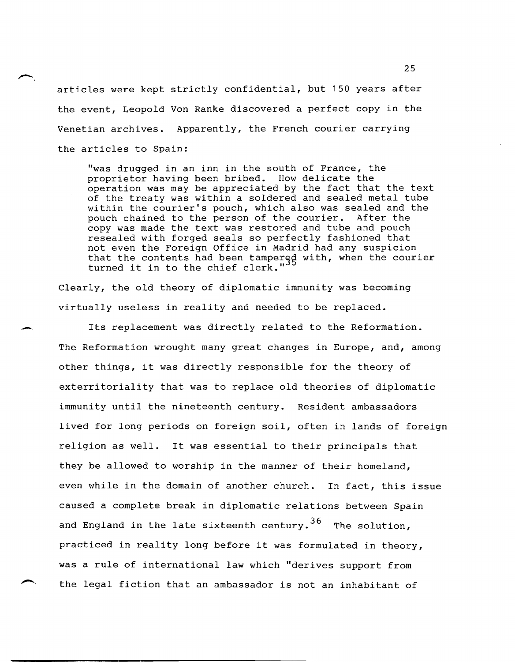articles were kept strictly confidential, but 150 years after the event, Leopold Von Ranke discovered a perfect copy in the Venetian archives. Apparently, the French courier carrying the articles to Spain:

"was drugged in an inn in the south of France, the proprietor having been bribed. How delicate the operation was may be appreciated by the fact that the text of the treaty was within a soldered and sealed metal tube within the courier's pouch, which also was sealed and the pouch chained to the person of the courier. After the copy was made the text was restored and tube and pouch resealed with forged seals so perfectly fashioned that not even the Foreign Office in Madrid had any suspicion that the contents had been tampered with, when the courier that the contents had been tamper.<br>turned it in to the chief clerk."

Clearly, the old theory of diplomatic immunity was becoming virtually useless in reality and needed to be replaced.

-

Its replacement was directly related to the Reformation. The Reformation wrought many great changes in Europe, and, among other things, it was directly responsible for the theory of exterritoriality that was to replace old theories of diplomatic immunity until the nineteenth century. Resident ambassadors lived for long periods on foreign soil, often in lands of foreign religion as well. It was essential to their principals that they be allowed to worship in the manner of their homeland, even while in the domain of another church. In fact, this issue caused a complete break in diplomatic relations between Spain and England in the late sixteenth century.  $36$  The solution, practiced in reality long before it was formulated in theory, was a rule of international law which "derives support from the legal fiction that an ambassador is not an inhabitant of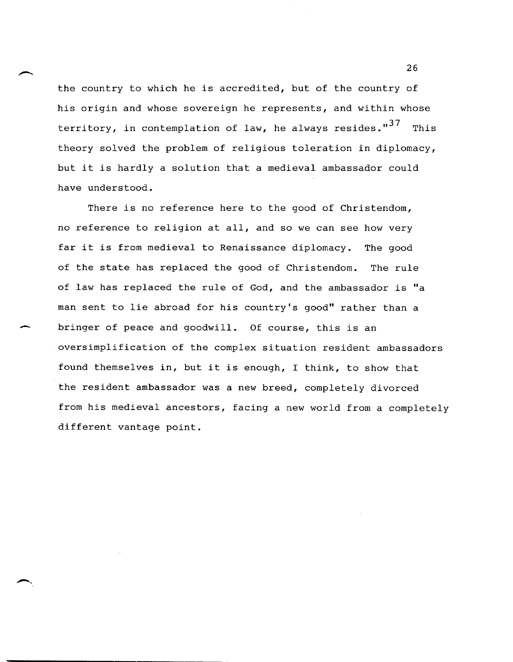the country to which he is accredited, but of the country of his origin and whose sovereign he represents, and within whose territory, in contemplation of law, he always resides." $37$  This theory solved the problem of religious toleration in diplomacy, but it is hardly a solution that a medieval ambassador could have understood.

There is no reference here to the good of Christendom, no reference to religion at all, and so we can see how very far it is from medieval to Renaissance diplomacy. The good of the state has replaced the good of Christendom. The rule of law has replaced the rule of God, and the ambassador is "a man sent to lie abroad for his country's good" rather than a bringer of peace and goodwill. Of course, this is an oversimplification of the complex situation resident ambassadors found themselves in, but it is enough, I think, to show that the resident ambassador was a new breed, completely divorced from his medieval ancestors, facing a new world from a completely different vantage point.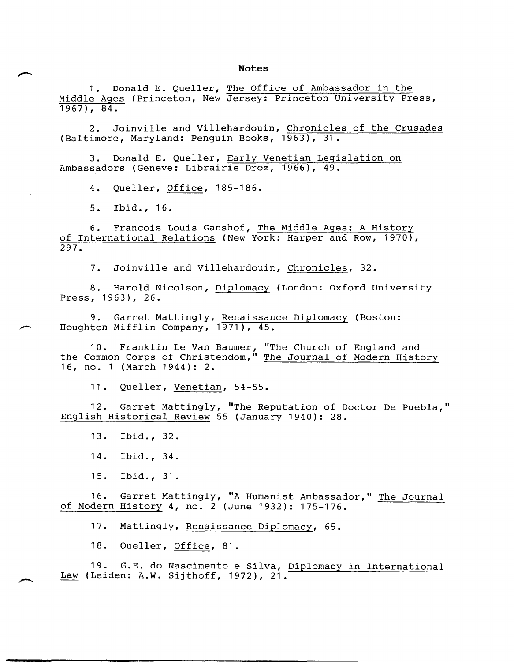## **Notes**

1. Donald E. Queller, The Office of Ambassador in the Middle Ages (Princeton, New Jersey: Princeton University Press, 1967), 84.

2. Joinville and Villehardouin, Chronicles of the Crusades (Baltimore, Maryland: Penguin Books, 1963), 31.

3. Donald E. Queller, Early Venetian Legislation on Ambassadors (Geneve: Librairie Droz, 1966), 49.

4. Queller, Office, 185-186.

5. Ibid., 16.

6. Francois Louis Ganshof, The Middle Ages: A History of International Relations (New York: Harper and Row, 1970), 297.

7. Joinville and Villehardouin, Chronicles, 32.

8. Harold Nicolson, Diplomacy (London: Oxford University Press, 1963), 26.

9. Garret Mattingly, Renaissance Diplomacy (Boston: Houghton Mifflin Company, 1971), 45.

10. Franklin Le Van Baumer, "The Church of England and the Common Corps of Christendom," The Journal of Modern History 16, no. 1 (March 1944): 2.

11. Queller, Venetian, 54-55.

12. Garret Mattingly, "The Reputation of Doctor De Puebla," English Historical Review 55 (January 1940): 28.

13. Ibid., 32.

14. Ibid., 34.

15. Ibid., 31.

 $16.$ of Modern History 4, no. 2 (June 1932): 175-176. Garret Mattingly, "A Humanist Ambassador," The Journal

17. Mattingly, Renaissance Diplomacy, 65.

<sup>1</sup>8. Queller, Office, 81.

19. G.E. do Nascimento e Silva, Diplomacy in International Law (Leiden: A.W. Sijthoff, 1972), 21.